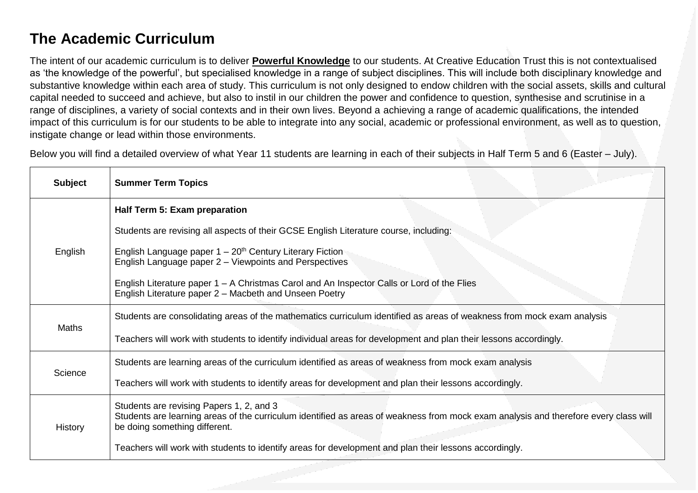## **The Academic Curriculum**

The intent of our academic curriculum is to deliver **Powerful Knowledge** to our students. At Creative Education Trust this is not contextualised as 'the knowledge of the powerful', but specialised knowledge in a range of subject disciplines. This will include both disciplinary knowledge and substantive knowledge within each area of study. This curriculum is not only designed to endow children with the social assets, skills and cultural capital needed to succeed and achieve, but also to instil in our children the power and confidence to question, synthesise and scrutinise in a range of disciplines, a variety of social contexts and in their own lives. Beyond a achieving a range of academic qualifications, the intended impact of this curriculum is for our students to be able to integrate into any social, academic or professional environment, as well as to question, instigate change or lead within those environments.

Below you will find a detailed overview of what Year 11 students are learning in each of their subjects in Half Term 5 and 6 (Easter – July).

| <b>Subject</b> | <b>Summer Term Topics</b>                                                                                                                                                                                         |
|----------------|-------------------------------------------------------------------------------------------------------------------------------------------------------------------------------------------------------------------|
| English        | Half Term 5: Exam preparation                                                                                                                                                                                     |
|                | Students are revising all aspects of their GCSE English Literature course, including:                                                                                                                             |
|                | English Language paper $1 - 20$ <sup>th</sup> Century Literary Fiction<br>English Language paper 2 - Viewpoints and Perspectives                                                                                  |
|                | English Literature paper $1 - A$ Christmas Carol and An Inspector Calls or Lord of the Flies<br>English Literature paper 2 – Macbeth and Unseen Poetry                                                            |
| Maths          | Students are consolidating areas of the mathematics curriculum identified as areas of weakness from mock exam analysis                                                                                            |
|                | Teachers will work with students to identify individual areas for development and plan their lessons accordingly.                                                                                                 |
| Science        | Students are learning areas of the curriculum identified as areas of weakness from mock exam analysis                                                                                                             |
|                | Teachers will work with students to identify areas for development and plan their lessons accordingly.                                                                                                            |
| History        | Students are revising Papers 1, 2, and 3<br>Students are learning areas of the curriculum identified as areas of weakness from mock exam analysis and therefore every class will<br>be doing something different. |
|                | Teachers will work with students to identify areas for development and plan their lessons accordingly.                                                                                                            |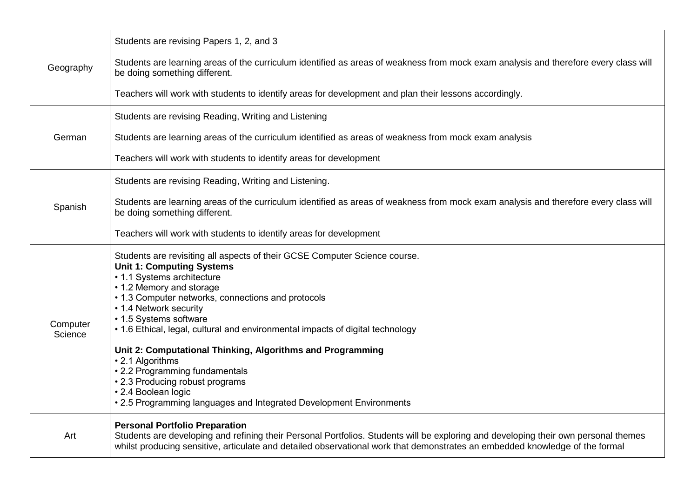| Geography           | Students are revising Papers 1, 2, and 3                                                                                                                                                                                                                                                                                                                                                                                                               |
|---------------------|--------------------------------------------------------------------------------------------------------------------------------------------------------------------------------------------------------------------------------------------------------------------------------------------------------------------------------------------------------------------------------------------------------------------------------------------------------|
|                     | Students are learning areas of the curriculum identified as areas of weakness from mock exam analysis and therefore every class will<br>be doing something different.                                                                                                                                                                                                                                                                                  |
|                     | Teachers will work with students to identify areas for development and plan their lessons accordingly.                                                                                                                                                                                                                                                                                                                                                 |
| German              | Students are revising Reading, Writing and Listening                                                                                                                                                                                                                                                                                                                                                                                                   |
|                     | Students are learning areas of the curriculum identified as areas of weakness from mock exam analysis                                                                                                                                                                                                                                                                                                                                                  |
|                     | Teachers will work with students to identify areas for development                                                                                                                                                                                                                                                                                                                                                                                     |
| Spanish             | Students are revising Reading, Writing and Listening.                                                                                                                                                                                                                                                                                                                                                                                                  |
|                     | Students are learning areas of the curriculum identified as areas of weakness from mock exam analysis and therefore every class will<br>be doing something different.                                                                                                                                                                                                                                                                                  |
|                     | Teachers will work with students to identify areas for development                                                                                                                                                                                                                                                                                                                                                                                     |
| Computer<br>Science | Students are revisiting all aspects of their GCSE Computer Science course.<br><b>Unit 1: Computing Systems</b><br>• 1.1 Systems architecture<br>• 1.2 Memory and storage<br>• 1.3 Computer networks, connections and protocols<br>• 1.4 Network security<br>• 1.5 Systems software<br>• 1.6 Ethical, legal, cultural and environmental impacts of digital technology<br>Unit 2: Computational Thinking, Algorithms and Programming<br>• 2.1 Algorithms |
|                     | • 2.2 Programming fundamentals<br>• 2.3 Producing robust programs<br>• 2.4 Boolean logic<br>• 2.5 Programming languages and Integrated Development Environments                                                                                                                                                                                                                                                                                        |
| Art                 | <b>Personal Portfolio Preparation</b><br>Students are developing and refining their Personal Portfolios. Students will be exploring and developing their own personal themes<br>whilst producing sensitive, articulate and detailed observational work that demonstrates an embedded knowledge of the formal                                                                                                                                           |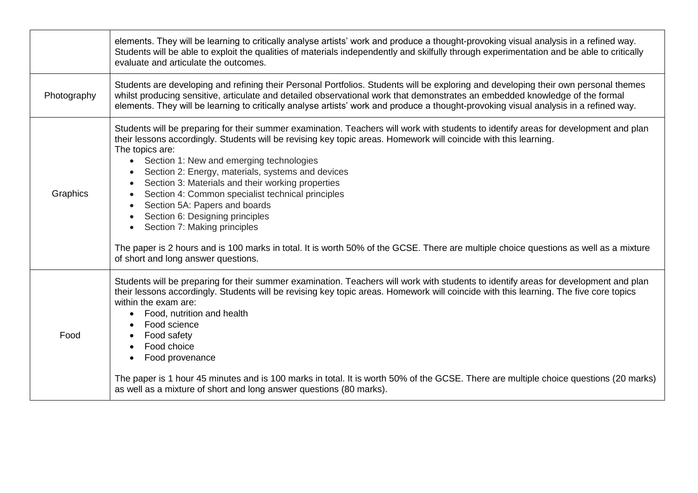|             | elements. They will be learning to critically analyse artists' work and produce a thought-provoking visual analysis in a refined way.<br>Students will be able to exploit the qualities of materials independently and skilfully through experimentation and be able to critically<br>evaluate and articulate the outcomes.                                                                                                                                                                                                                                                                                                                                                                                                                                                             |
|-------------|-----------------------------------------------------------------------------------------------------------------------------------------------------------------------------------------------------------------------------------------------------------------------------------------------------------------------------------------------------------------------------------------------------------------------------------------------------------------------------------------------------------------------------------------------------------------------------------------------------------------------------------------------------------------------------------------------------------------------------------------------------------------------------------------|
| Photography | Students are developing and refining their Personal Portfolios. Students will be exploring and developing their own personal themes<br>whilst producing sensitive, articulate and detailed observational work that demonstrates an embedded knowledge of the formal<br>elements. They will be learning to critically analyse artists' work and produce a thought-provoking visual analysis in a refined way.                                                                                                                                                                                                                                                                                                                                                                            |
| Graphics    | Students will be preparing for their summer examination. Teachers will work with students to identify areas for development and plan<br>their lessons accordingly. Students will be revising key topic areas. Homework will coincide with this learning.<br>The topics are:<br>Section 1: New and emerging technologies<br>$\bullet$<br>Section 2: Energy, materials, systems and devices<br>Section 3: Materials and their working properties<br>Section 4: Common specialist technical principles<br>Section 5A: Papers and boards<br>Section 6: Designing principles<br>Section 7: Making principles<br>The paper is 2 hours and is 100 marks in total. It is worth 50% of the GCSE. There are multiple choice questions as well as a mixture<br>of short and long answer questions. |
| Food        | Students will be preparing for their summer examination. Teachers will work with students to identify areas for development and plan<br>their lessons accordingly. Students will be revising key topic areas. Homework will coincide with this learning. The five core topics<br>within the exam are:<br>Food, nutrition and health<br>Food science<br>Food safety<br>Food choice<br>Food provenance<br>The paper is 1 hour 45 minutes and is 100 marks in total. It is worth 50% of the GCSE. There are multiple choice questions (20 marks)<br>as well as a mixture of short and long answer questions (80 marks).                                                                                                                                                                    |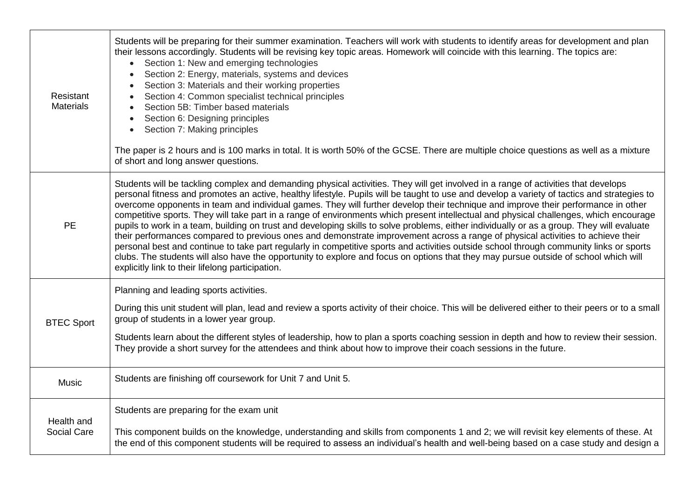| Resistant<br><b>Materials</b>    | Students will be preparing for their summer examination. Teachers will work with students to identify areas for development and plan<br>their lessons accordingly. Students will be revising key topic areas. Homework will coincide with this learning. The topics are:<br>Section 1: New and emerging technologies<br>$\bullet$<br>Section 2: Energy, materials, systems and devices<br>Section 3: Materials and their working properties<br>Section 4: Common specialist technical principles<br>Section 5B: Timber based materials<br>Section 6: Designing principles<br>Section 7: Making principles<br>The paper is 2 hours and is 100 marks in total. It is worth 50% of the GCSE. There are multiple choice questions as well as a mixture<br>of short and long answer questions.                                                                                                                                                                                                                                                                                                                                                                                                |
|----------------------------------|------------------------------------------------------------------------------------------------------------------------------------------------------------------------------------------------------------------------------------------------------------------------------------------------------------------------------------------------------------------------------------------------------------------------------------------------------------------------------------------------------------------------------------------------------------------------------------------------------------------------------------------------------------------------------------------------------------------------------------------------------------------------------------------------------------------------------------------------------------------------------------------------------------------------------------------------------------------------------------------------------------------------------------------------------------------------------------------------------------------------------------------------------------------------------------------|
| <b>PE</b>                        | Students will be tackling complex and demanding physical activities. They will get involved in a range of activities that develops<br>personal fitness and promotes an active, healthy lifestyle. Pupils will be taught to use and develop a variety of tactics and strategies to<br>overcome opponents in team and individual games. They will further develop their technique and improve their performance in other<br>competitive sports. They will take part in a range of environments which present intellectual and physical challenges, which encourage<br>pupils to work in a team, building on trust and developing skills to solve problems, either individually or as a group. They will evaluate<br>their performances compared to previous ones and demonstrate improvement across a range of physical activities to achieve their<br>personal best and continue to take part regularly in competitive sports and activities outside school through community links or sports<br>clubs. The students will also have the opportunity to explore and focus on options that they may pursue outside of school which will<br>explicitly link to their lifelong participation. |
| <b>BTEC Sport</b>                | Planning and leading sports activities.<br>During this unit student will plan, lead and review a sports activity of their choice. This will be delivered either to their peers or to a small<br>group of students in a lower year group.<br>Students learn about the different styles of leadership, how to plan a sports coaching session in depth and how to review their session.<br>They provide a short survey for the attendees and think about how to improve their coach sessions in the future.                                                                                                                                                                                                                                                                                                                                                                                                                                                                                                                                                                                                                                                                                 |
| Music                            | Students are finishing off coursework for Unit 7 and Unit 5.                                                                                                                                                                                                                                                                                                                                                                                                                                                                                                                                                                                                                                                                                                                                                                                                                                                                                                                                                                                                                                                                                                                             |
| Health and<br><b>Social Care</b> | Students are preparing for the exam unit<br>This component builds on the knowledge, understanding and skills from components 1 and 2; we will revisit key elements of these. At<br>the end of this component students will be required to assess an individual's health and well-being based on a case study and design a                                                                                                                                                                                                                                                                                                                                                                                                                                                                                                                                                                                                                                                                                                                                                                                                                                                                |